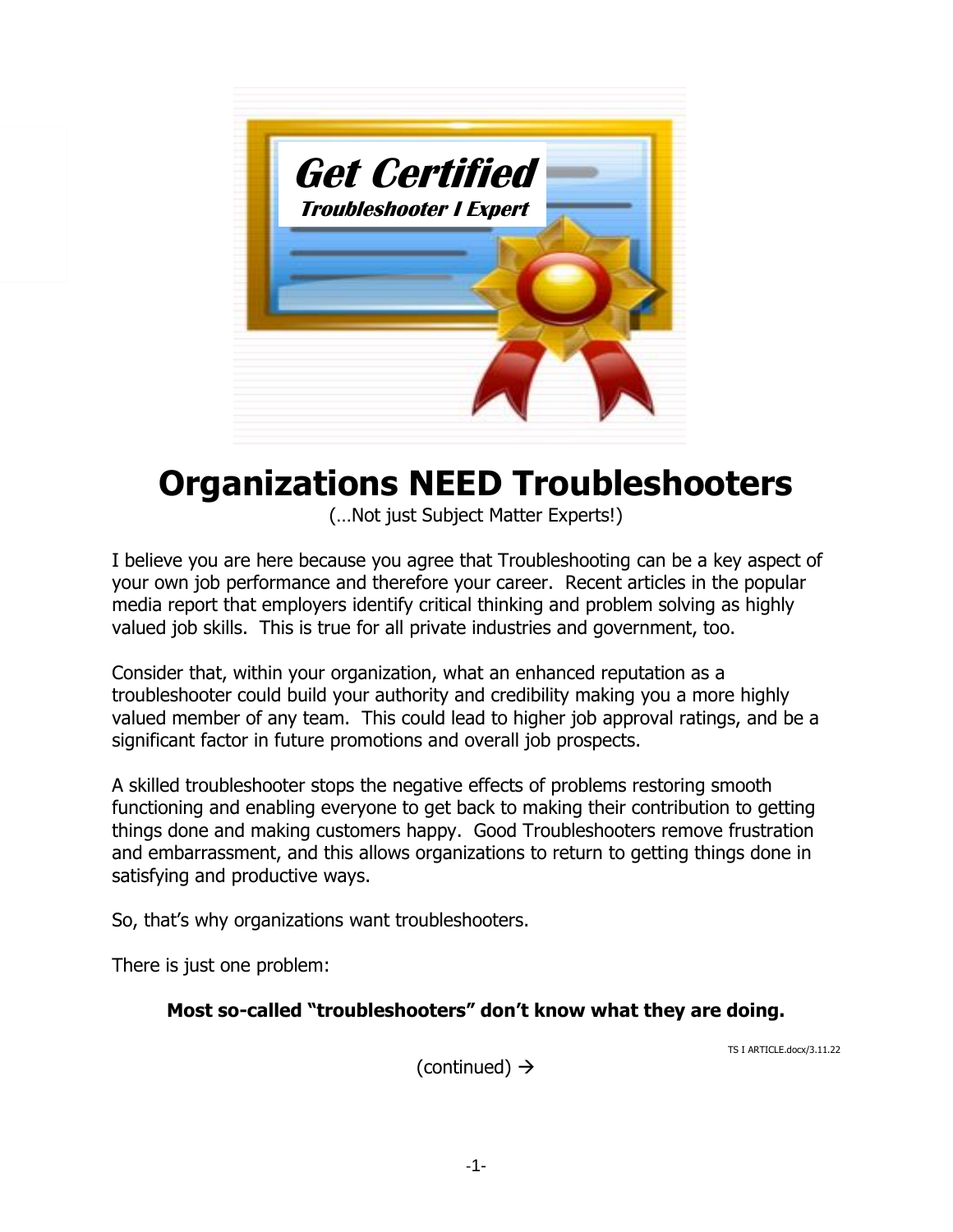

# **Organizations NEED Troubleshooters**

(…Not just Subject Matter Experts!)

I believe you are here because you agree that Troubleshooting can be a key aspect of your own job performance and therefore your career. Recent articles in the popular media report that employers identify critical thinking and problem solving as highly valued job skills. This is true for all private industries and government, too.

Consider that, within your organization, what an enhanced reputation as a troubleshooter could build your authority and credibility making you a more highly valued member of any team. This could lead to higher job approval ratings, and be a significant factor in future promotions and overall job prospects.

A skilled troubleshooter stops the negative effects of problems restoring smooth functioning and enabling everyone to get back to making their contribution to getting things done and making customers happy. Good Troubleshooters remove frustration and embarrassment, and this allows organizations to return to getting things done in satisfying and productive ways.

So, that's why organizations want troubleshooters.

There is just one problem:

#### **Most so-called "troubleshooters" don't know what they are doing.**

TS I ARTICLE.docx/3.11.22

(continued)  $\rightarrow$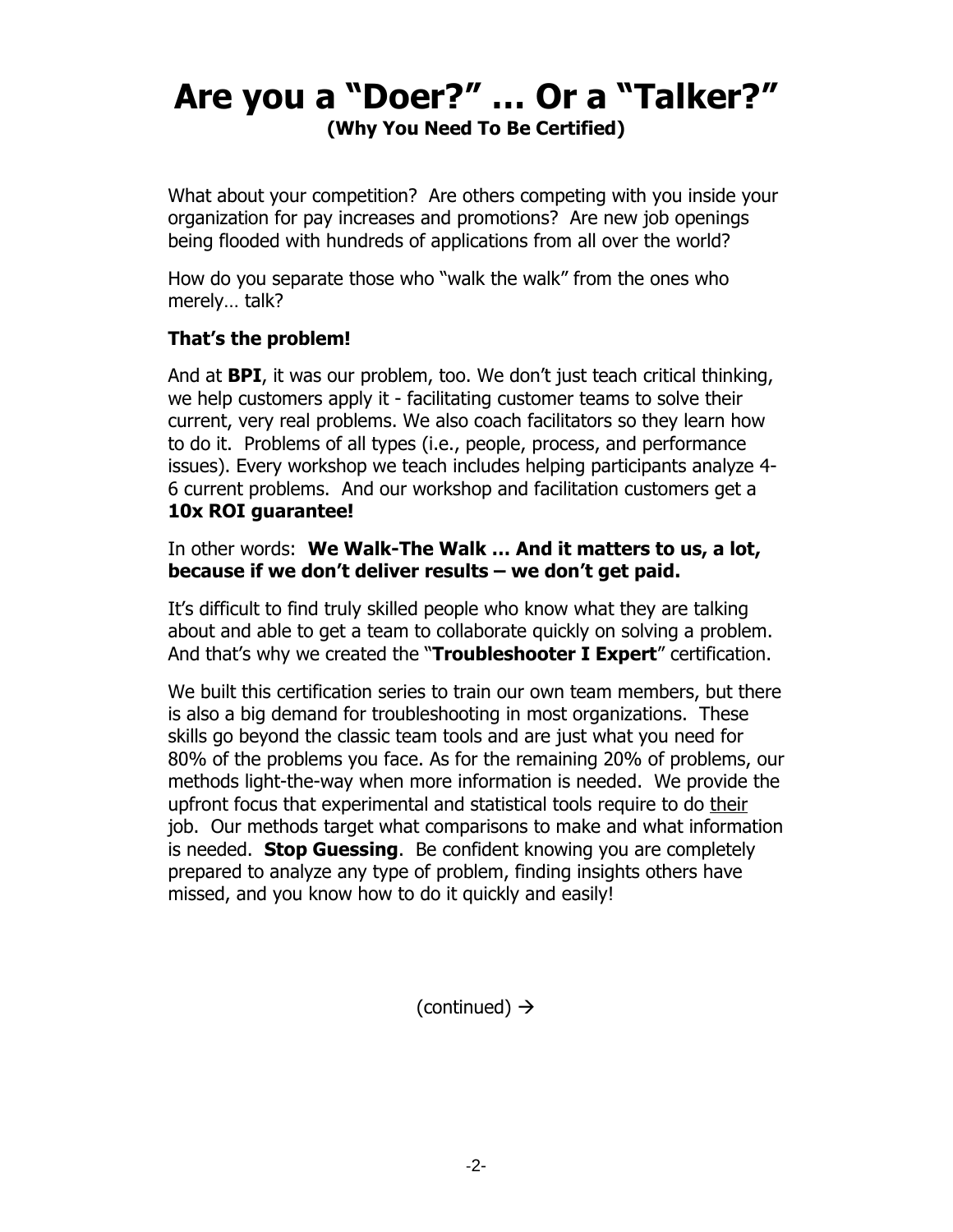### **Are you a "Doer?" … Or a "Talker?" (Why You Need To Be Certified)**

What about your competition? Are others competing with you inside your organization for pay increases and promotions? Are new job openings being flooded with hundreds of applications from all over the world?

How do you separate those who "walk the walk" from the ones who merely… talk?

### **That's the problem!**

And at **BPI**, it was our problem, too. We don't just teach critical thinking, we help customers apply it - facilitating customer teams to solve their current, very real problems. We also coach facilitators so they learn how to do it. Problems of all types (i.e., people, process, and performance issues). Every workshop we teach includes helping participants analyze 4- 6 current problems. And our workshop and facilitation customers get a **10x ROI guarantee!**

In other words: **We Walk-The Walk … And it matters to us, a lot, because if we don't deliver results – we don't get paid.**

It's difficult to find truly skilled people who know what they are talking about and able to get a team to collaborate quickly on solving a problem. And that's why we created the "**Troubleshooter I Expert**" certification.

We built this certification series to train our own team members, but there is also a big demand for troubleshooting in most organizations. These skills go beyond the classic team tools and are just what you need for 80% of the problems you face. As for the remaining 20% of problems, our methods light-the-way when more information is needed. We provide the upfront focus that experimental and statistical tools require to do their job. Our methods target what comparisons to make and what information is needed. **Stop Guessing**. Be confident knowing you are completely prepared to analyze any type of problem, finding insights others have missed, and you know how to do it quickly and easily!

(continued)  $\rightarrow$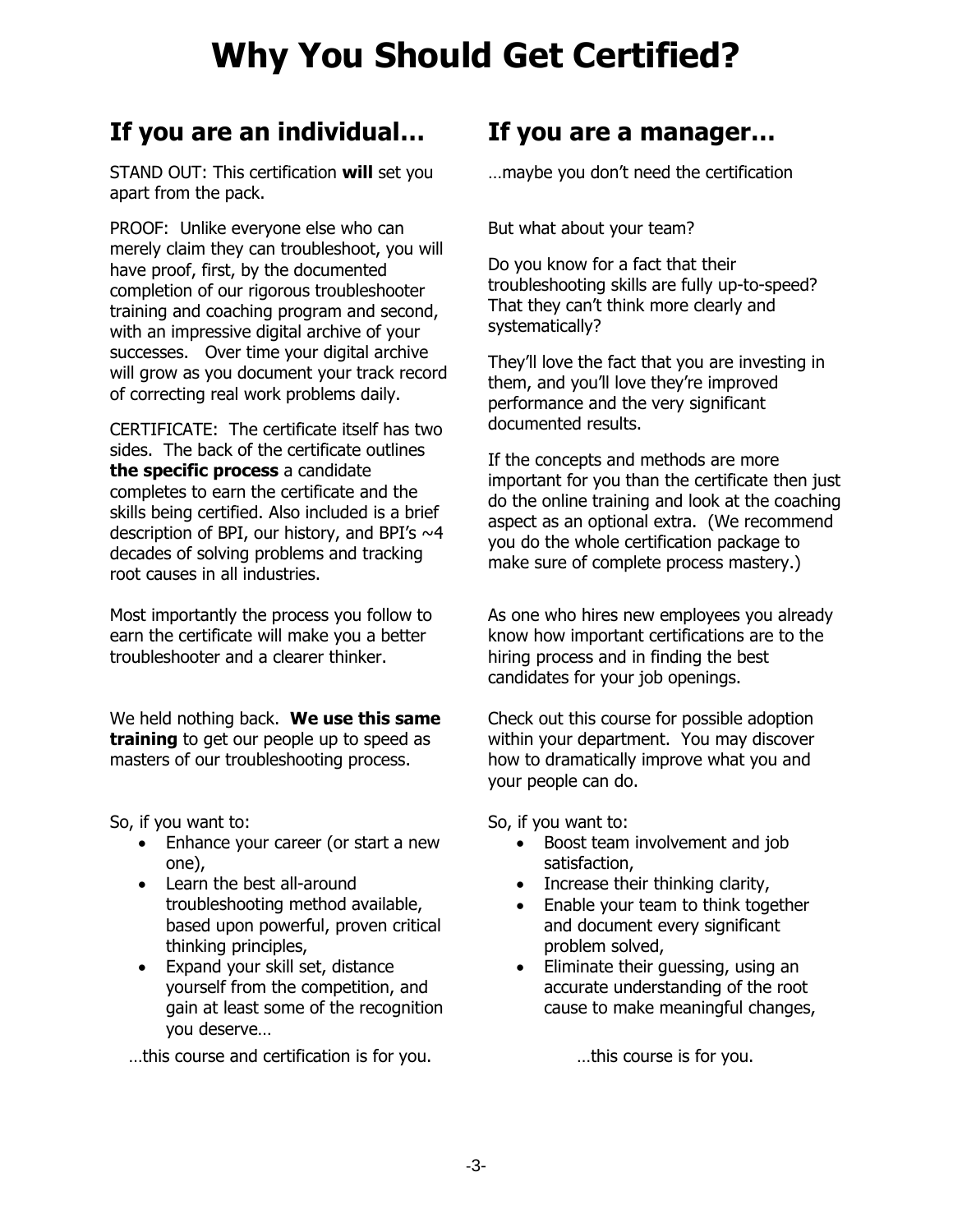## **Why You Should Get Certified?**

### **If you are an individual… If you are a manager…**

STAND OUT: This certification **will** set you apart from the pack.

PROOF: Unlike everyone else who can merely claim they can troubleshoot, you will have proof, first, by the documented completion of our rigorous troubleshooter training and coaching program and second, with an impressive digital archive of your successes. Over time your digital archive will grow as you document your track record of correcting real work problems daily.

CERTIFICATE: The certificate itself has two sides. The back of the certificate outlines **the specific process** a candidate completes to earn the certificate and the skills being certified. Also included is a brief description of BPI, our history, and BPI's  $\sim$ 4 decades of solving problems and tracking root causes in all industries.

Most importantly the process you follow to earn the certificate will make you a better troubleshooter and a clearer thinker.

We held nothing back. **We use this same training** to get our people up to speed as masters of our troubleshooting process.

So, if you want to:

- Enhance your career (or start a new one),
- Learn the best all-around troubleshooting method available, based upon powerful, proven critical thinking principles,
- Expand your skill set, distance yourself from the competition, and gain at least some of the recognition you deserve…

…this course and certification is for you. …this course is for you.

…maybe you don't need the certification

But what about your team?

Do you know for a fact that their troubleshooting skills are fully up-to-speed? That they can't think more clearly and systematically?

They'll love the fact that you are investing in them, and you'll love they're improved performance and the very significant documented results.

If the concepts and methods are more important for you than the certificate then just do the online training and look at the coaching aspect as an optional extra. (We recommend you do the whole certification package to make sure of complete process mastery.)

As one who hires new employees you already know how important certifications are to the hiring process and in finding the best candidates for your job openings.

Check out this course for possible adoption within your department. You may discover how to dramatically improve what you and your people can do.

So, if you want to:

- Boost team involvement and job satisfaction,
- Increase their thinking clarity,
- Enable your team to think together and document every significant problem solved,
- Eliminate their guessing, using an accurate understanding of the root cause to make meaningful changes,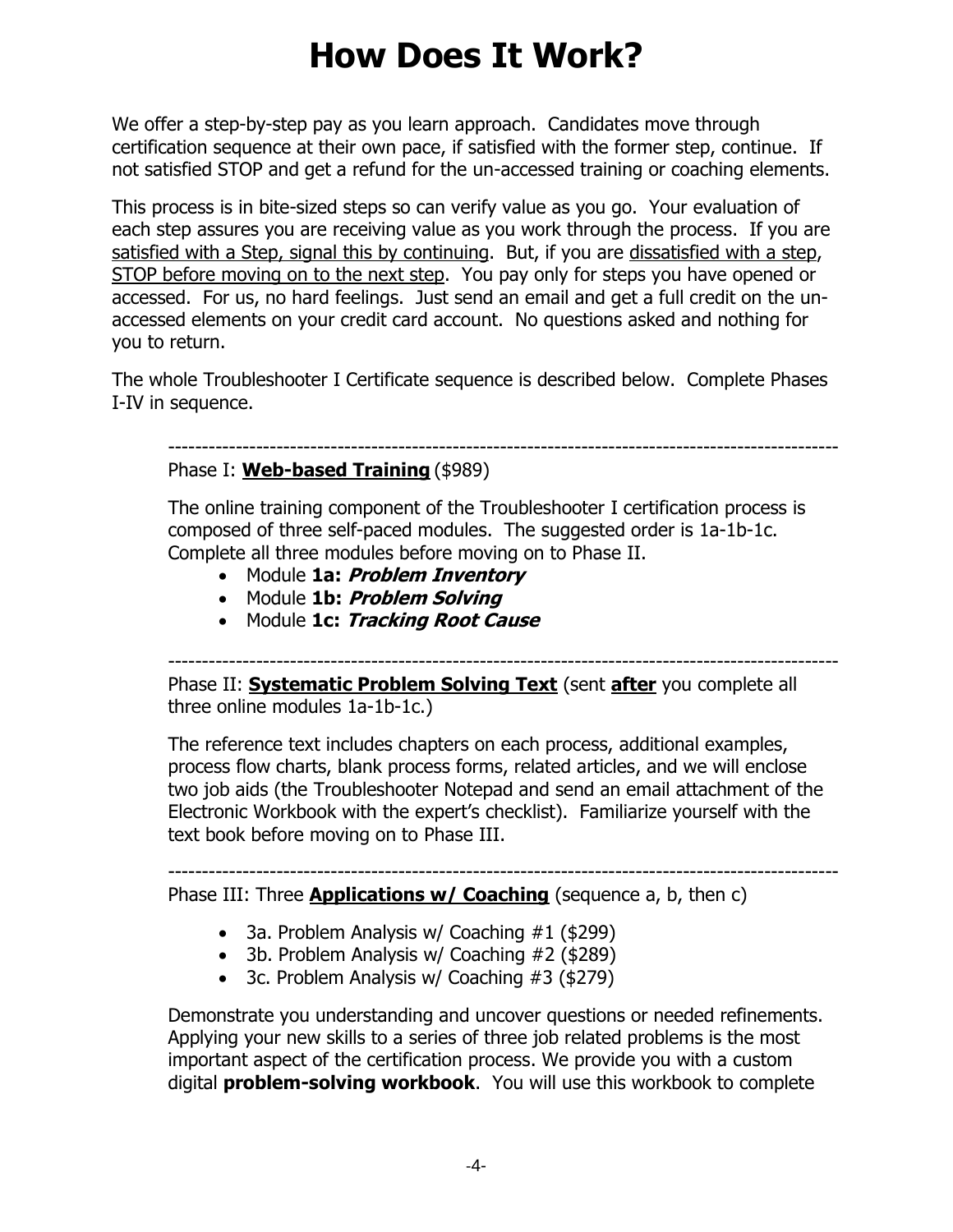### **How Does It Work?**

We offer a step-by-step pay as you learn approach. Candidates move through certification sequence at their own pace, if satisfied with the former step, continue. If not satisfied STOP and get a refund for the un-accessed training or coaching elements.

This process is in bite-sized steps so can verify value as you go. Your evaluation of each step assures you are receiving value as you work through the process. If you are satisfied with a Step, signal this by continuing. But, if you are dissatisfied with a step, STOP before moving on to the next step. You pay only for steps you have opened or accessed. For us, no hard feelings. Just send an email and get a full credit on the unaccessed elements on your credit card account. No questions asked and nothing for you to return.

The whole Troubleshooter I Certificate sequence is described below. Complete Phases I-IV in sequence.

#### ---------------------------------------------------------------------------------------------------

#### Phase I: **Web-based Training** (\$989)

The online training component of the Troubleshooter I certification process is composed of three self-paced modules. The suggested order is 1a-1b-1c. Complete all three modules before moving on to Phase II.

- Module **1a: Problem Inventory**
- Module **1b: Problem Solving**
- Module **1c: Tracking Root Cause**

--------------------------------------------------------------------------------------------------- Phase II: **Systematic Problem Solving Text** (sent **after** you complete all

three online modules 1a-1b-1c.)

The reference text includes chapters on each process, additional examples, process flow charts, blank process forms, related articles, and we will enclose two job aids (the Troubleshooter Notepad and send an email attachment of the Electronic Workbook with the expert's checklist). Familiarize yourself with the text book before moving on to Phase III.

---------------------------------------------------------------------------------------------------

Phase III: Three **Applications w/ Coaching** (sequence a, b, then c)

- 3a. Problem Analysis w/ Coaching #1 (\$299)
- 3b. Problem Analysis w/ Coaching #2 (\$289)
- 3c. Problem Analysis w/ Coaching #3 (\$279)

Demonstrate you understanding and uncover questions or needed refinements. Applying your new skills to a series of three job related problems is the most important aspect of the certification process. We provide you with a custom digital **problem-solving workbook**. You will use this workbook to complete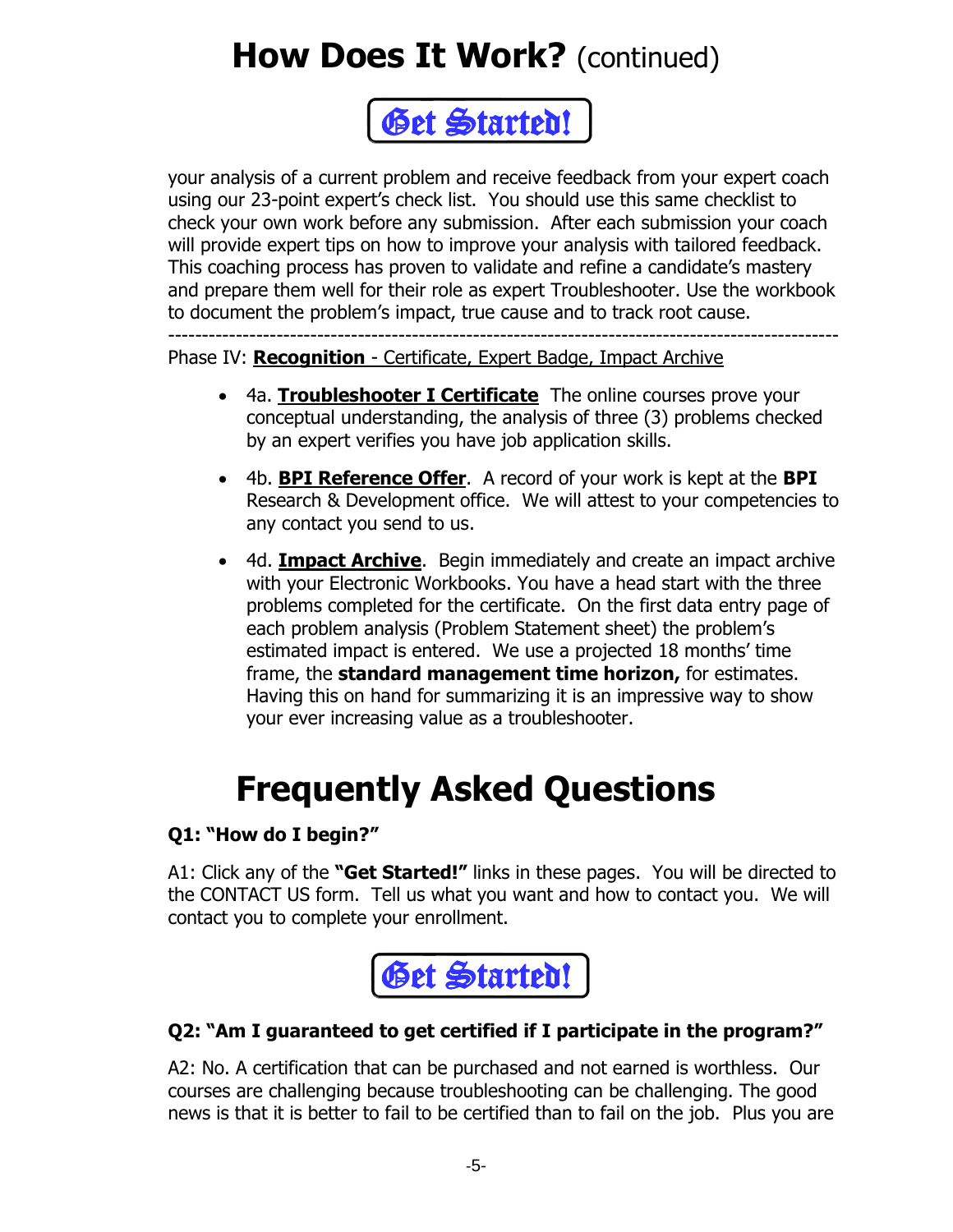## **How Does It Work?** (continued)



your analysis of a current problem and receive feedback from your expert coach using our 23-point expert's check list. You should use this same checklist to check your own work before any submission. After each submission your coach will provide expert tips on how to improve your analysis with tailored feedback. This coaching process has proven to validate and refine a candidate's mastery and prepare them well for their role as expert Troubleshooter. Use the workbook to document the problem's impact, true cause and to track root cause.

--------------------------------------------------------------------------------------------------- Phase IV: **Recognition** - Certificate, Expert Badge, Impact Archive

- 4a. **Troubleshooter I Certificate** The online courses prove your conceptual understanding, the analysis of three (3) problems checked by an expert verifies you have job application skills.
- 4b. **BPI Reference Offer**. A record of your work is kept at the **BPI**  Research & Development office. We will attest to your competencies to any contact you send to us.
- 4d. **Impact Archive**. Begin immediately and create an impact archive with your Electronic Workbooks. You have a head start with the three problems completed for the certificate. On the first data entry page of each problem analysis (Problem Statement sheet) the problem's estimated impact is entered. We use a projected 18 months' time frame, the **standard management time horizon,** for estimates. Having this on hand for summarizing it is an impressive way to show your ever increasing value as a troubleshooter.

# **Frequently Asked Questions**

### **Q1: "How do I begin?"**

A1: Click any of the **"Get Started!"** links in these pages. You will be directed to the CONTACT US form. Tell us what you want and how to contact you. We will contact you to complete your enrollment.



### **Q2: "Am I guaranteed to get certified if I participate in the program?"**

A2: No. A certification that can be purchased and not earned is worthless. Our courses are challenging because troubleshooting can be challenging. The good news is that it is better to fail to be certified than to fail on the job. Plus you are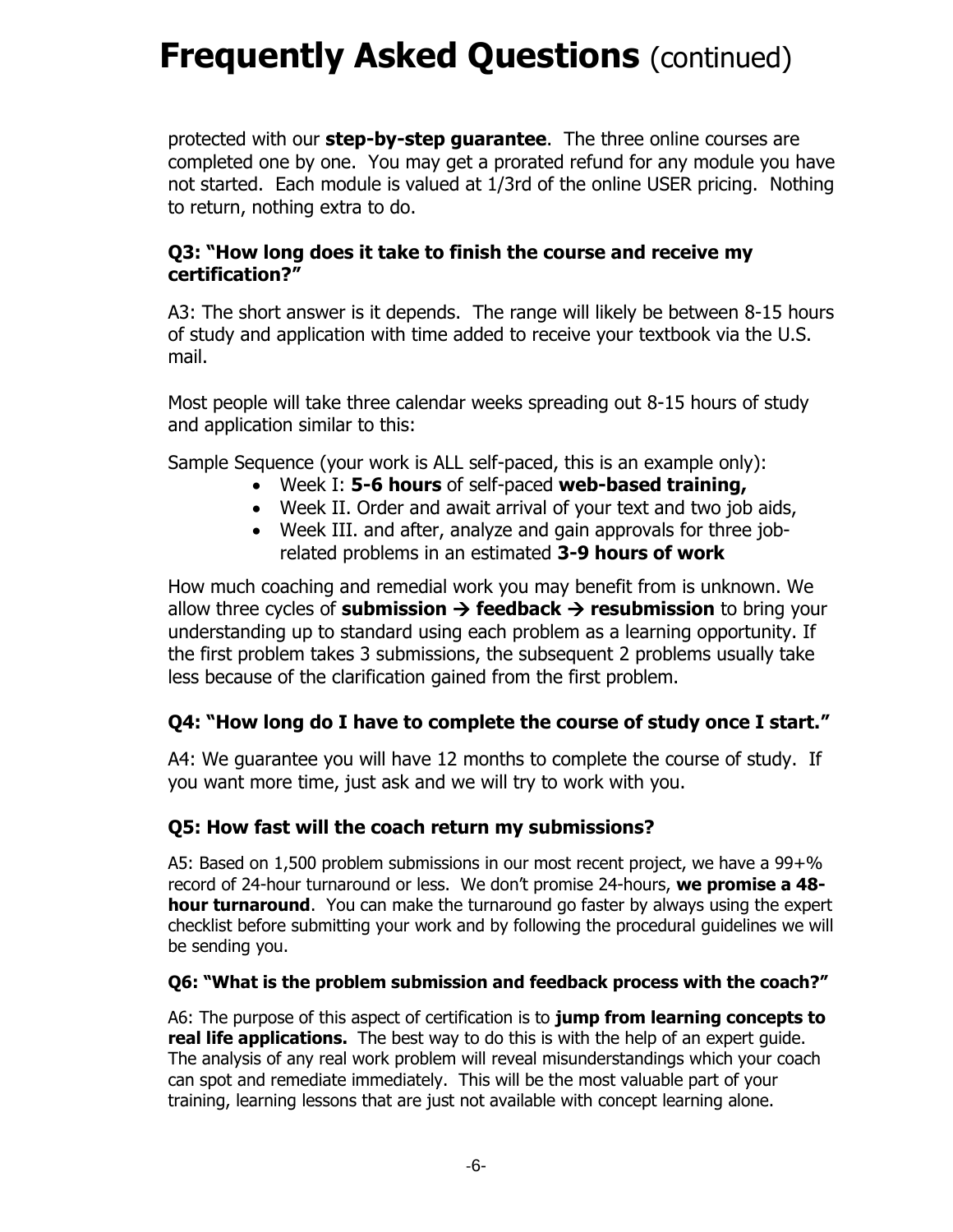### **Frequently Asked Questions (continued)**

protected with our **step-by-step guarantee**. The three online courses are completed one by one. You may get a prorated refund for any module you have not started. Each module is valued at 1/3rd of the online USER pricing. Nothing to return, nothing extra to do.

#### **Q3: "How long does it take to finish the course and receive my certification?"**

A3: The short answer is it depends. The range will likely be between 8-15 hours of study and application with time added to receive your textbook via the U.S. mail.

Most people will take three calendar weeks spreading out 8-15 hours of study and application similar to this:

Sample Sequence (your work is ALL self-paced, this is an example only):

- Week I: **5-6 hours** of self-paced **web-based training,**
- Week II. Order and await arrival of your text and two job aids,
- Week III. and after, analyze and gain approvals for three jobrelated problems in an estimated **3-9 hours of work**

How much coaching and remedial work you may benefit from is unknown. We allow three cycles of **submission** → **feedback** → **resubmission** to bring your understanding up to standard using each problem as a learning opportunity. If the first problem takes 3 submissions, the subsequent 2 problems usually take less because of the clarification gained from the first problem.

### **Q4: "How long do I have to complete the course of study once I start."**

A4: We guarantee you will have 12 months to complete the course of study. If you want more time, just ask and we will try to work with you.

#### **Q5: How fast will the coach return my submissions?**

A5: Based on 1,500 problem submissions in our most recent project, we have a 99+% record of 24-hour turnaround or less. We don't promise 24-hours, **we promise a 48 hour turnaround**. You can make the turnaround go faster by always using the expert checklist before submitting your work and by following the procedural guidelines we will be sending you.

#### **Q6: "What is the problem submission and feedback process with the coach?"**

A6: The purpose of this aspect of certification is to **jump from learning concepts to real life applications.** The best way to do this is with the help of an expert guide. The analysis of any real work problem will reveal misunderstandings which your coach can spot and remediate immediately. This will be the most valuable part of your training, learning lessons that are just not available with concept learning alone.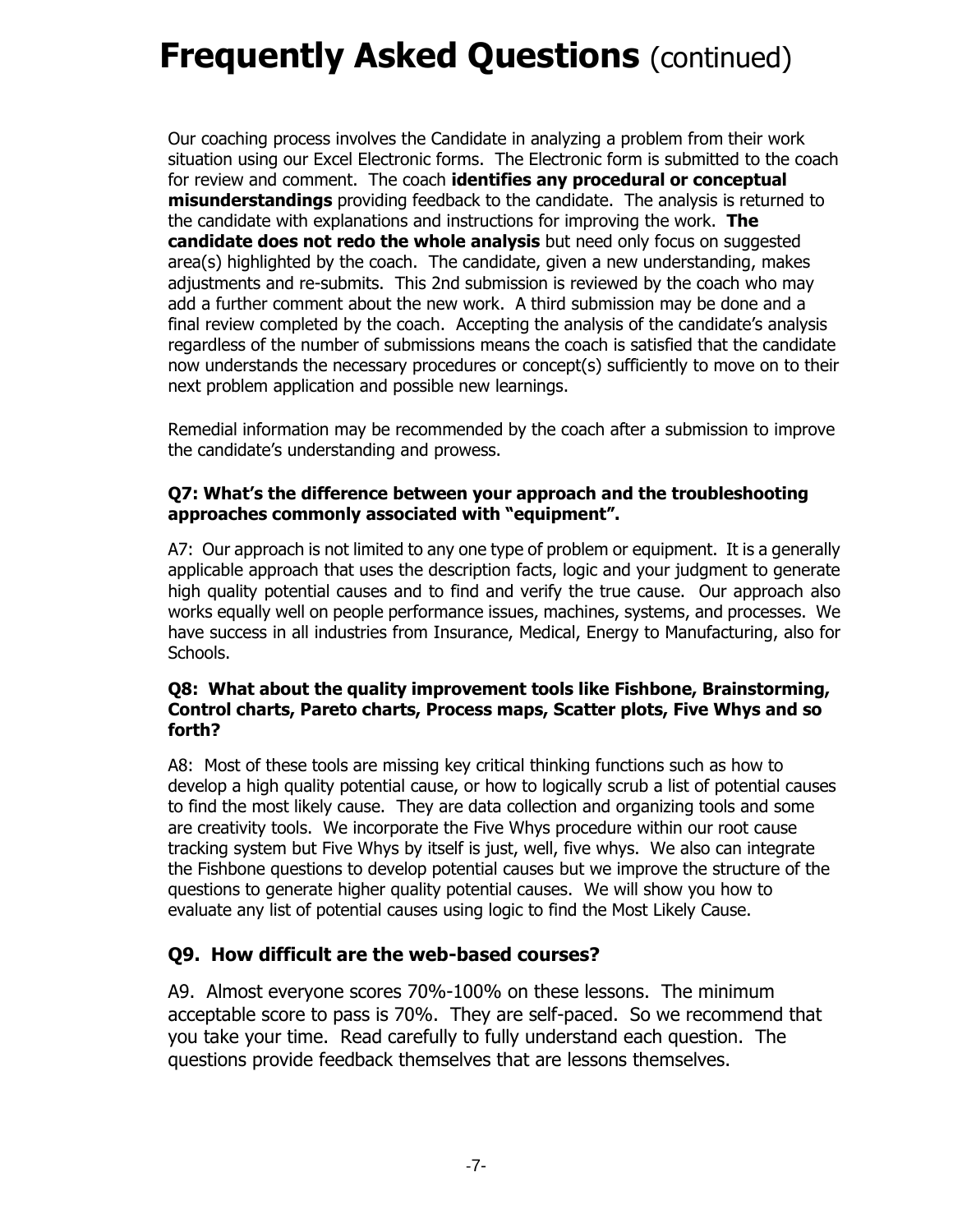### **Frequently Asked Questions (continued)**

Our coaching process involves the Candidate in analyzing a problem from their work situation using our Excel Electronic forms. The Electronic form is submitted to the coach for review and comment. The coach **identifies any procedural or conceptual misunderstandings** providing feedback to the candidate. The analysis is returned to the candidate with explanations and instructions for improving the work. **The candidate does not redo the whole analysis** but need only focus on suggested area(s) highlighted by the coach. The candidate, given a new understanding, makes adjustments and re-submits. This 2nd submission is reviewed by the coach who may add a further comment about the new work. A third submission may be done and a final review completed by the coach. Accepting the analysis of the candidate's analysis regardless of the number of submissions means the coach is satisfied that the candidate now understands the necessary procedures or concept(s) sufficiently to move on to their next problem application and possible new learnings.

Remedial information may be recommended by the coach after a submission to improve the candidate's understanding and prowess.

#### **Q7: What's the difference between your approach and the troubleshooting approaches commonly associated with "equipment".**

A7: Our approach is not limited to any one type of problem or equipment. It is a generally applicable approach that uses the description facts, logic and your judgment to generate high quality potential causes and to find and verify the true cause. Our approach also works equally well on people performance issues, machines, systems, and processes. We have success in all industries from Insurance, Medical, Energy to Manufacturing, also for Schools.

#### **Q8: What about the quality improvement tools like Fishbone, Brainstorming, Control charts, Pareto charts, Process maps, Scatter plots, Five Whys and so forth?**

A8: Most of these tools are missing key critical thinking functions such as how to develop a high quality potential cause, or how to logically scrub a list of potential causes to find the most likely cause. They are data collection and organizing tools and some are creativity tools. We incorporate the Five Whys procedure within our root cause tracking system but Five Whys by itself is just, well, five whys. We also can integrate the Fishbone questions to develop potential causes but we improve the structure of the questions to generate higher quality potential causes. We will show you how to evaluate any list of potential causes using logic to find the Most Likely Cause.

#### **Q9. How difficult are the web-based courses?**

A9. Almost everyone scores 70%-100% on these lessons. The minimum acceptable score to pass is 70%. They are self-paced. So we recommend that you take your time. Read carefully to fully understand each question. The questions provide feedback themselves that are lessons themselves.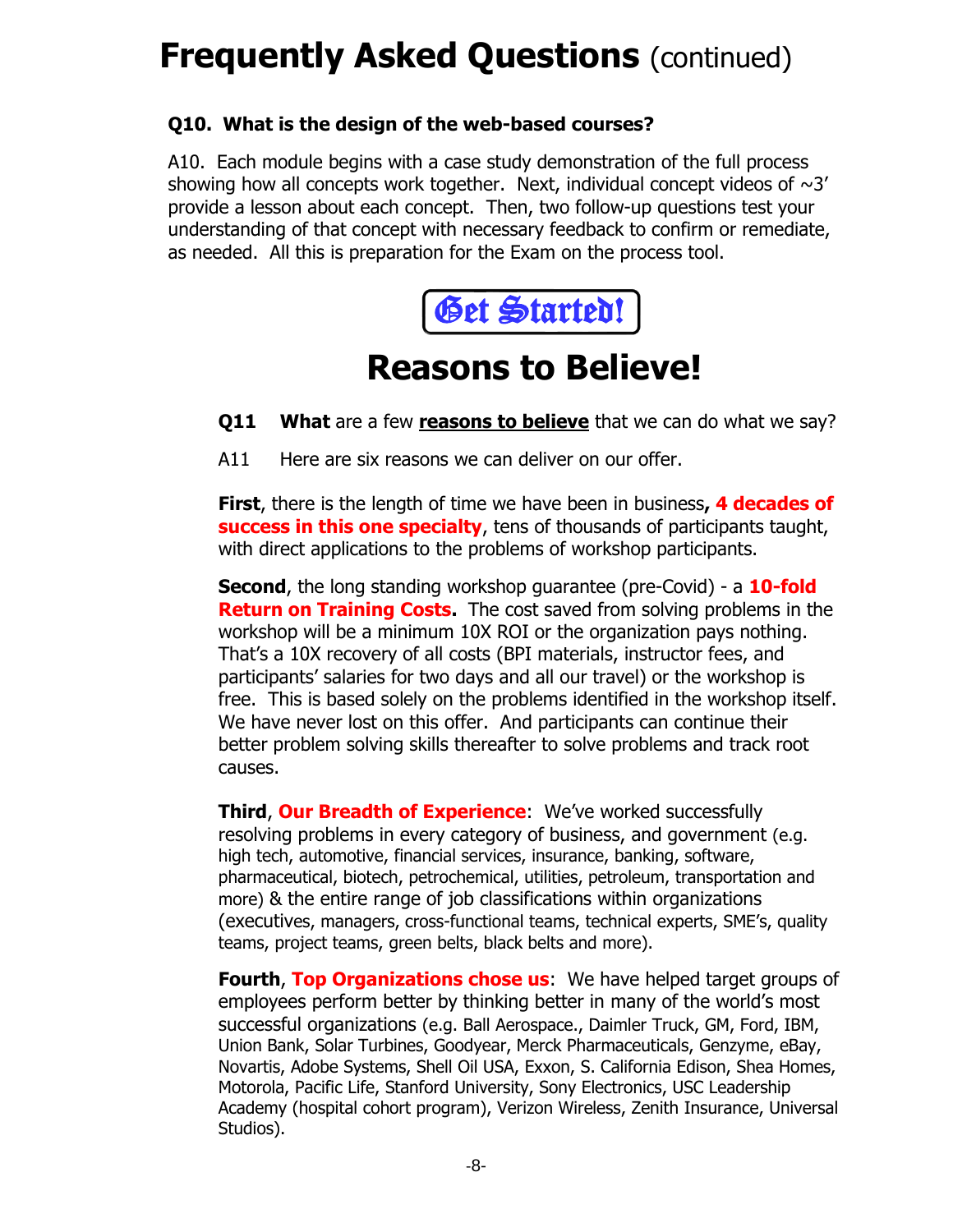### **Frequently Asked Questions (continued)**

### **Q10. What is the design of the web-based courses?**

A10. Each module begins with a case study demonstration of the full process showing how all concepts work together. Next, individual concept videos of  $\sim$ 3' provide a lesson about each concept. Then, two follow-up questions test your understanding of that concept with necessary feedback to confirm or remediate, as needed. All this is preparation for the Exam on the process tool.



### **Reasons to Believe!**

**Q11 What** are a few **reasons to believe** that we can do what we say?

A11 Here are six reasons we can deliver on our offer.

**First**, there is the length of time we have been in business**, 4 decades of success in this one specialty**, tens of thousands of participants taught, with direct applications to the problems of workshop participants.

**Second**, the long standing workshop guarantee (pre-Covid) - a **10-fold Return on Training Costs.** The cost saved from solving problems in the workshop will be a minimum 10X ROI or the organization pays nothing. That's a 10X recovery of all costs (BPI materials, instructor fees, and participants' salaries for two days and all our travel) or the workshop is free. This is based solely on the problems identified in the workshop itself. We have never lost on this offer. And participants can continue their better problem solving skills thereafter to solve problems and track root causes.

**Third**, **Our Breadth of Experience**: We've worked successfully resolving problems in every category of business, and government (e.g. high tech, automotive, financial services, insurance, banking, software, pharmaceutical, biotech, petrochemical, utilities, petroleum, transportation and more) & the entire range of job classifications within organizations (executives, managers, cross-functional teams, technical experts, SME's, quality teams, project teams, green belts, black belts and more).

**Fourth**, **Top Organizations chose us**: We have helped target groups of employees perform better by thinking better in many of the world's most successful organizations (e.g. Ball Aerospace., Daimler Truck, GM, Ford, IBM, Union Bank, Solar Turbines, Goodyear, Merck Pharmaceuticals, Genzyme, eBay, Novartis, Adobe Systems, Shell Oil USA, Exxon, S. California Edison, Shea Homes, Motorola, Pacific Life, Stanford University, Sony Electronics, USC Leadership Academy (hospital cohort program), Verizon Wireless, Zenith Insurance, Universal Studios).